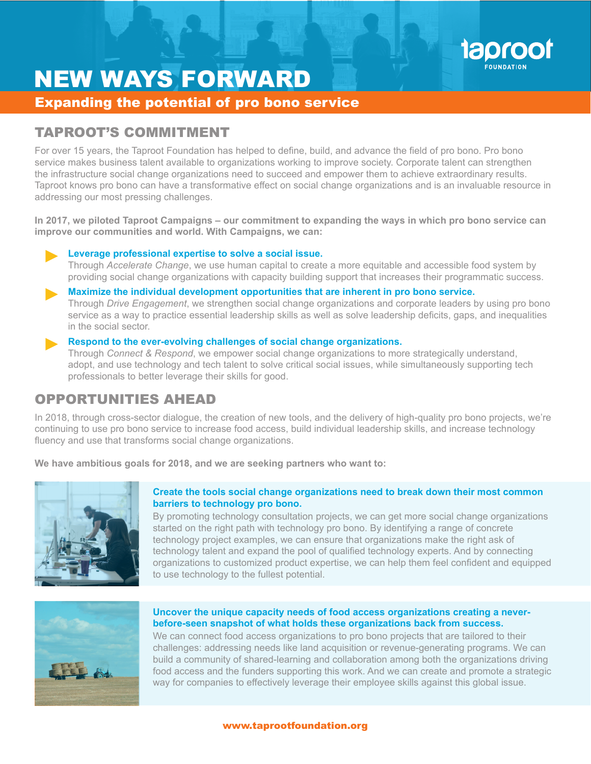

# NEW WAYS FORWARD

Expanding the potential of pro bono service

### TAPROOT'S COMMITMENT

For over 15 years, the Taproot Foundation has helped to define, build, and advance the field of pro bono. Pro bono service makes business talent available to organizations working to improve society. Corporate talent can strengthen the infrastructure social change organizations need to succeed and empower them to achieve extraordinary results. Taproot knows pro bono can have a transformative effect on social change organizations and is an invaluable resource in addressing our most pressing challenges.

**In 2017, we piloted Taproot Campaigns – our commitment to expanding the ways in which pro bono service can improve our communities and world. With Campaigns, we can:**



#### **Maximize the individual development opportunities that are inherent in pro bono service.**

Through *Drive Engagement*, we strengthen social change organizations and corporate leaders by using pro bono service as a way to practice essential leadership skills as well as solve leadership deficits, gaps, and inequalities in the social sector.

#### **Respond to the ever-evolving challenges of social change organizations.**

Through *Connect & Respond*, we empower social change organizations to more strategically understand, adopt, and use technology and tech talent to solve critical social issues, while simultaneously supporting tech professionals to better leverage their skills for good.

## OPPORTUNITIES AHEAD

In 2018, through cross-sector dialogue, the creation of new tools, and the delivery of high-quality pro bono projects, we're continuing to use pro bono service to increase food access, build individual leadership skills, and increase technology fluency and use that transforms social change organizations.

**We have ambitious goals for 2018, and we are seeking partners who want to:**



#### **Create the tools social change organizations need to break down their most common barriers to technology pro bono.**

By promoting technology consultation projects, we can get more social change organizations started on the right path with technology pro bono. By identifying a range of concrete technology project examples, we can ensure that organizations make the right ask of technology talent and expand the pool of qualified technology experts. And by connecting organizations to customized product expertise, we can help them feel confident and equipped to use technology to the fullest potential.



#### **Uncover the unique capacity needs of food access organizations creating a neverbefore-seen snapshot of what holds these organizations back from success.**

We can connect food access organizations to pro bono projects that are tailored to their challenges: addressing needs like land acquisition or revenue-generating programs. We can build a community of shared-learning and collaboration among both the organizations driving food access and the funders supporting this work. And we can create and promote a strategic way for companies to effectively leverage their employee skills against this global issue.